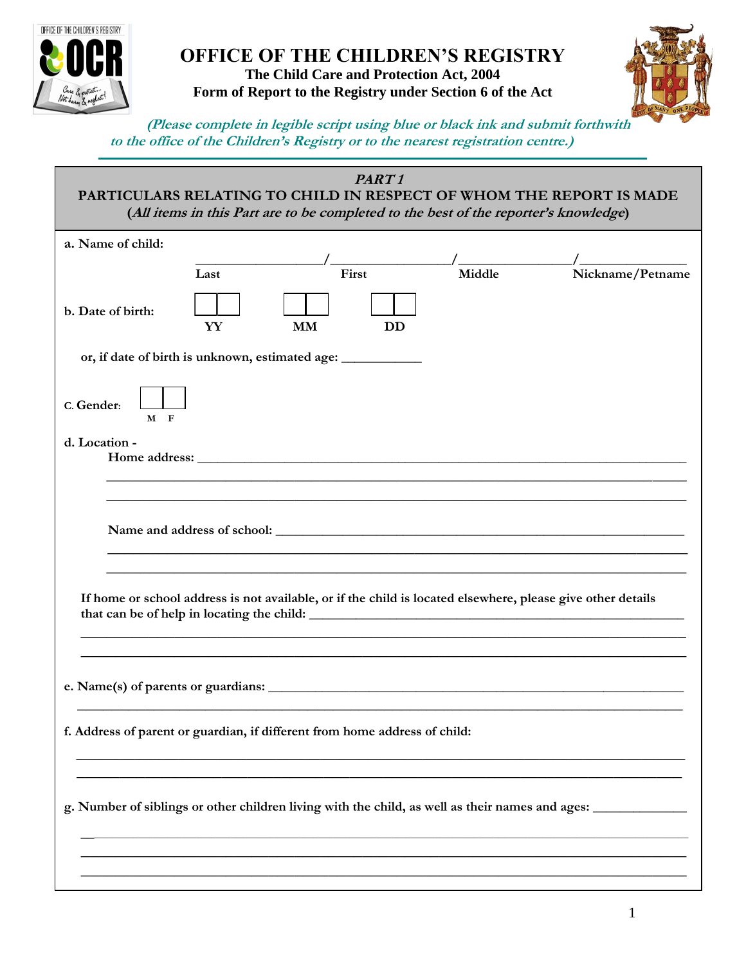

## **OFFICE OF THE CHILDREN'S REGISTRY The Child Care and Protection Act, 2004 Form of Report to the Registry under Section 6 of the Act**



 **(Please complete in legible script using blue or black ink and submit forthwith to the office of the Children's Registry or to the nearest registration centre.)**

|                                                                                                             |      | PART <sub>1</sub><br>PARTICULARS RELATING TO CHILD IN RESPECT OF WHOM THE REPORT IS MADE<br>(All items in this Part are to be completed to the best of the reporter's knowledge) |        |                  |  |
|-------------------------------------------------------------------------------------------------------------|------|----------------------------------------------------------------------------------------------------------------------------------------------------------------------------------|--------|------------------|--|
| a. Name of child:                                                                                           |      |                                                                                                                                                                                  |        |                  |  |
|                                                                                                             | Last | First                                                                                                                                                                            | Middle | Nickname/Petname |  |
| b. Date of birth:                                                                                           | YY   | <b>MM</b><br><b>DD</b>                                                                                                                                                           |        |                  |  |
|                                                                                                             |      | or, if date of birth is unknown, estimated age: ________________________________                                                                                                 |        |                  |  |
| C. Gender:<br>$M$ F                                                                                         |      |                                                                                                                                                                                  |        |                  |  |
| d. Location -                                                                                               |      |                                                                                                                                                                                  |        |                  |  |
|                                                                                                             |      |                                                                                                                                                                                  |        |                  |  |
|                                                                                                             |      |                                                                                                                                                                                  |        |                  |  |
|                                                                                                             |      |                                                                                                                                                                                  |        |                  |  |
| If home or school address is not available, or if the child is located elsewhere, please give other details |      |                                                                                                                                                                                  |        |                  |  |
|                                                                                                             |      |                                                                                                                                                                                  |        |                  |  |
| f. Address of parent or guardian, if different from home address of child:                                  |      |                                                                                                                                                                                  |        |                  |  |
|                                                                                                             |      |                                                                                                                                                                                  |        |                  |  |
| g. Number of siblings or other children living with the child, as well as their names and ages:             |      |                                                                                                                                                                                  |        |                  |  |
|                                                                                                             |      |                                                                                                                                                                                  |        |                  |  |
|                                                                                                             |      |                                                                                                                                                                                  |        |                  |  |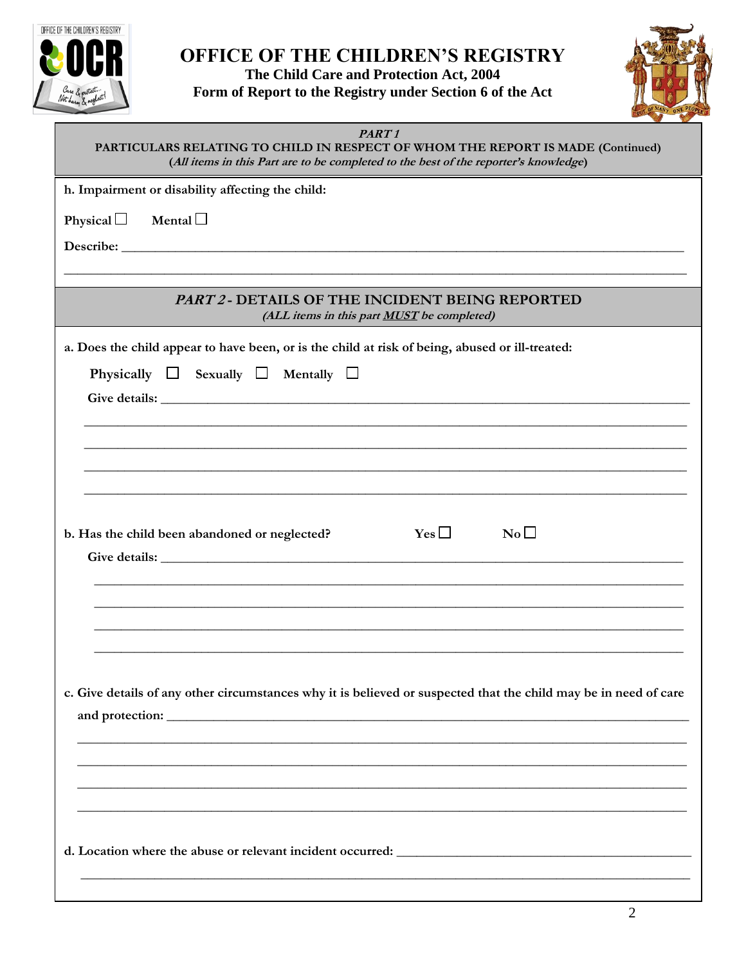

## OFFICE OF THE CHILDREN'S REGISTRY The Child Care and Protection Act, 2004

Form of Report to the Registry under Section 6 of the Act



| PART <sub>1</sub><br>PARTICULARS RELATING TO CHILD IN RESPECT OF WHOM THE REPORT IS MADE (Continued)<br>(All items in this Part are to be completed to the best of the reporter's knowledge)                                   |  |  |  |  |  |
|--------------------------------------------------------------------------------------------------------------------------------------------------------------------------------------------------------------------------------|--|--|--|--|--|
| h. Impairment or disability affecting the child:                                                                                                                                                                               |  |  |  |  |  |
| Mental $\Box$<br>Physical $\Box$                                                                                                                                                                                               |  |  |  |  |  |
| Describe: New York Changes and Changes and Changes and Changes and Changes and Changes and Changes and Changes and Changes and Changes and Changes and Changes and Changes and Changes and Changes and Changes and Changes and |  |  |  |  |  |
|                                                                                                                                                                                                                                |  |  |  |  |  |
| <b>PART 2 - DETAILS OF THE INCIDENT BEING REPORTED</b><br>(ALL items in this part <b>MUST</b> be completed)                                                                                                                    |  |  |  |  |  |
| a. Does the child appear to have been, or is the child at risk of being, abused or ill-treated:                                                                                                                                |  |  |  |  |  |
| Physically $\Box$ Sexually $\Box$ Mentally $\Box$                                                                                                                                                                              |  |  |  |  |  |
|                                                                                                                                                                                                                                |  |  |  |  |  |
|                                                                                                                                                                                                                                |  |  |  |  |  |
|                                                                                                                                                                                                                                |  |  |  |  |  |
|                                                                                                                                                                                                                                |  |  |  |  |  |
|                                                                                                                                                                                                                                |  |  |  |  |  |
| Yes $\Box$<br>$\rm No$ $\Box$<br>b. Has the child been abandoned or neglected?                                                                                                                                                 |  |  |  |  |  |
|                                                                                                                                                                                                                                |  |  |  |  |  |
|                                                                                                                                                                                                                                |  |  |  |  |  |
|                                                                                                                                                                                                                                |  |  |  |  |  |
|                                                                                                                                                                                                                                |  |  |  |  |  |
|                                                                                                                                                                                                                                |  |  |  |  |  |
| c. Give details of any other circumstances why it is believed or suspected that the child may be in need of care                                                                                                               |  |  |  |  |  |
|                                                                                                                                                                                                                                |  |  |  |  |  |
|                                                                                                                                                                                                                                |  |  |  |  |  |
|                                                                                                                                                                                                                                |  |  |  |  |  |
|                                                                                                                                                                                                                                |  |  |  |  |  |
|                                                                                                                                                                                                                                |  |  |  |  |  |
|                                                                                                                                                                                                                                |  |  |  |  |  |
|                                                                                                                                                                                                                                |  |  |  |  |  |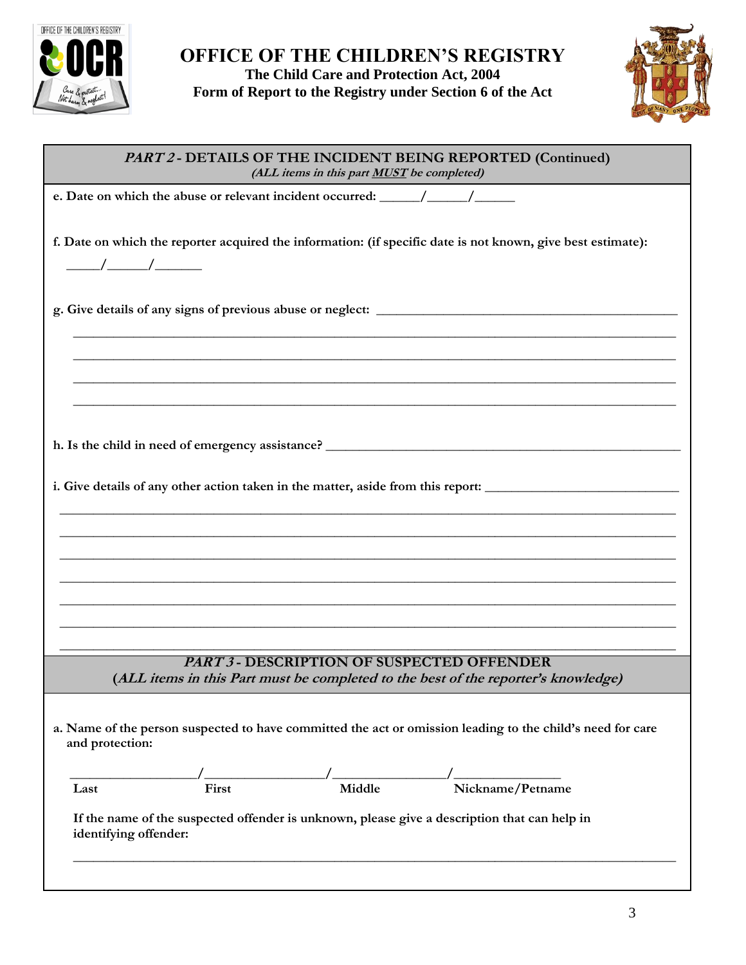



| PART 2 - DETAILS OF THE INCIDENT BEING REPORTED (Continued)<br>(ALL items in this part <b>MUST</b> be completed)                                                     |  |  |  |  |  |
|----------------------------------------------------------------------------------------------------------------------------------------------------------------------|--|--|--|--|--|
|                                                                                                                                                                      |  |  |  |  |  |
| f. Date on which the reporter acquired the information: (if specific date is not known, give best estimate):<br>$\frac{\frac{1}{2}}{\frac{1}{2}}$                    |  |  |  |  |  |
|                                                                                                                                                                      |  |  |  |  |  |
| i. Give details of any other action taken in the matter, aside from this report:                                                                                     |  |  |  |  |  |
| ,我们也不能在这里的时候,我们也不能在这里的时候,我们也不能在这里的时候,我们也不能会不能在这里的时候,我们也不能会不能会不能会不能会不能会不能会不能会不能会不                                                                                     |  |  |  |  |  |
|                                                                                                                                                                      |  |  |  |  |  |
| <b>PART 3 - DESCRIPTION OF SUSPECTED OFFENDER</b><br>(ALL items in this Part must be completed to the best of the reporter's knowledge)                              |  |  |  |  |  |
| a. Name of the person suspected to have committed the act or omission leading to the child's need for care<br>and protection:                                        |  |  |  |  |  |
| Nickname/Petname<br>Middle<br>First<br>Last<br>If the name of the suspected offender is unknown, please give a description that can help in<br>identifying offender: |  |  |  |  |  |
|                                                                                                                                                                      |  |  |  |  |  |